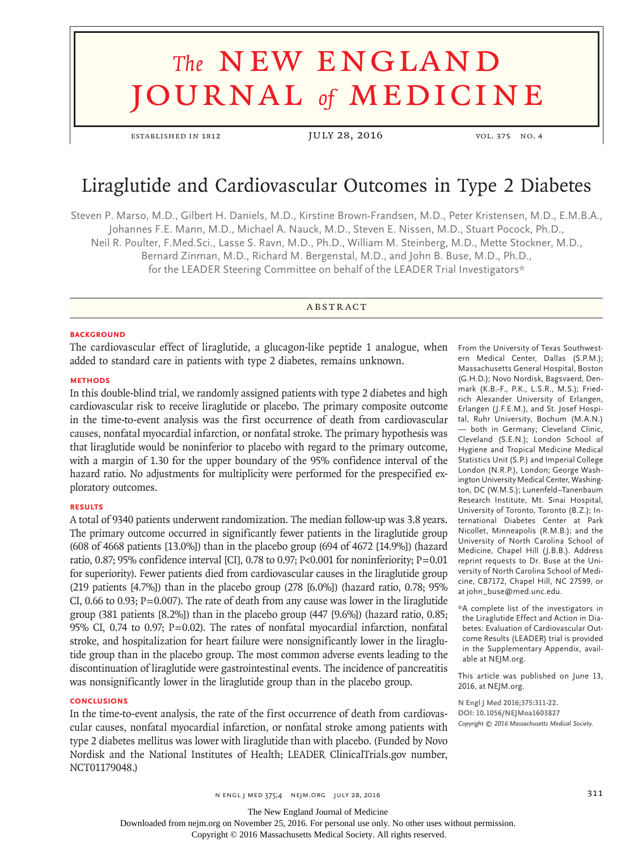# **The NEW ENGLAND** journal *of* medicine

established in 1812 JULY 28, 2016 vol. 375 no. 4

# Liraglutide and Cardiovascular Outcomes in Type 2 Diabetes

Steven P. Marso, M.D., Gilbert H. Daniels, M.D., Kirstine Brown-Frandsen, M.D., Peter Kristensen, M.D., E.M.B.A., Johannes F.E. Mann, M.D., Michael A. Nauck, M.D., Steven E. Nissen, M.D., Stuart Pocock, Ph.D., Neil R. Poulter, F.Med.Sci., Lasse S. Ravn, M.D., Ph.D., William M. Steinberg, M.D., Mette Stockner, M.D., Bernard Zinman, M.D., Richard M. Bergenstal, M.D., and John B. Buse, M.D., Ph.D., for the LEADER Steering Committee on behalf of the LEADER Trial Investigators\*

# **ABSTRACT**

#### **BACKGROUND**

The cardiovascular effect of liraglutide, a glucagon-like peptide 1 analogue, when added to standard care in patients with type 2 diabetes, remains unknown.

#### **METHODS**

In this double-blind trial, we randomly assigned patients with type 2 diabetes and high cardiovascular risk to receive liraglutide or placebo. The primary composite outcome in the time-to-event analysis was the first occurrence of death from cardiovascular causes, nonfatal myocardial infarction, or nonfatal stroke. The primary hypothesis was that liraglutide would be noninferior to placebo with regard to the primary outcome, with a margin of 1.30 for the upper boundary of the 95% confidence interval of the hazard ratio. No adjustments for multiplicity were performed for the prespecified exploratory outcomes.

# **RESULTS**

A total of 9340 patients underwent randomization. The median follow-up was 3.8 years. The primary outcome occurred in significantly fewer patients in the liraglutide group (608 of 4668 patients [13.0%]) than in the placebo group (694 of 4672 [14.9%]) (hazard ratio, 0.87; 95% confidence interval [CI], 0.78 to 0.97; P<0.001 for noninferiority;  $P=0.01$ for superiority). Fewer patients died from cardiovascular causes in the liraglutide group (219 patients [4.7%]) than in the placebo group (278 [6.0%]) (hazard ratio, 0.78; 95% CI, 0.66 to 0.93;  $P=0.007$ ). The rate of death from any cause was lower in the liraglutide group (381 patients [8.2%]) than in the placebo group (447 [9.6%]) (hazard ratio, 0.85; 95% CI, 0.74 to 0.97; P=0.02). The rates of nonfatal myocardial infarction, nonfatal stroke, and hospitalization for heart failure were nonsignificantly lower in the liraglutide group than in the placebo group. The most common adverse events leading to the discontinuation of liraglutide were gastrointestinal events. The incidence of pancreatitis was nonsignificantly lower in the liraglutide group than in the placebo group.

#### **CONCLUSIONS**

In the time-to-event analysis, the rate of the first occurrence of death from cardiovascular causes, nonfatal myocardial infarction, or nonfatal stroke among patients with type 2 diabetes mellitus was lower with liraglutide than with placebo. (Funded by Novo Nordisk and the National Institutes of Health; LEADER ClinicalTrials.gov number, NCT01179048.)

From the University of Texas Southwestern Medical Center, Dallas (S.P.M.); Massachusetts General Hospital, Boston (G.H.D.); Novo Nordisk, Bagsvaerd, Denmark (K.B.-F., P.K., L.S.R., M.S.); Friedrich Alexander University of Erlangen, Erlangen (J.F.E.M.), and St. Josef Hospital, Ruhr University, Bochum (M.A.N.) — both in Germany; Cleveland Clinic, Cleveland (S.E.N.); London School of Hygiene and Tropical Medicine Medical Statistics Unit (S.P.) and Imperial College London (N.R.P.), London; George Washington University Medical Center, Washington, DC (W.M.S.); Lunenfeld–Tanenbaum Research Institute, Mt. Sinai Hospital, University of Toronto, Toronto (B.Z.); International Diabetes Center at Park Nicollet, Minneapolis (R.M.B.); and the University of North Carolina School of Medicine, Chapel Hill (J.B.B.). Address reprint requests to Dr. Buse at the University of North Carolina School of Medicine, CB7172, Chapel Hill, NC 27599, or at john\_buse@med.unc.edu.

\*A complete list of the investigators in the Liraglutide Effect and Action in Diabetes: Evaluation of Cardiovascular Outcome Results (LEADER) trial is provided in the Supplementary Appendix, available at NEJM.org.

This article was published on June 13, 2016, at NEJM.org.

**N Engl J Med 2016;375:311-22. DOI: 10.1056/NEJMoa1603827** *Copyright © 2016 Massachusetts Medical Society.*

n ENGL J MED 375;4 NEJM.ORG JULY 28, 2016 311

The New England Journal of Medicine

Downloaded from nejm.org on November 25, 2016. For personal use only. No other uses without permission.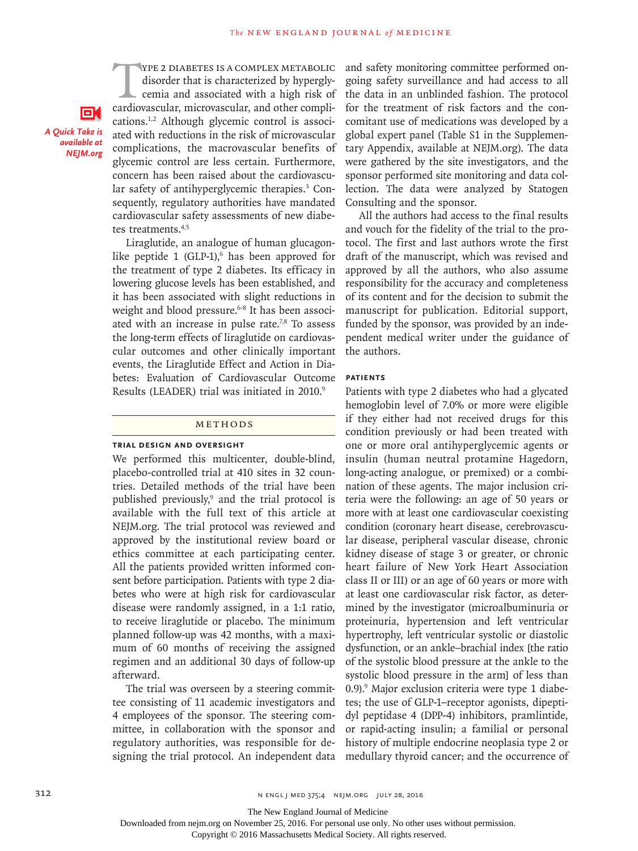THE 2 DIABETES IS A COMPLEX METABOLIC<br>disorder that is characterized by hypergly-<br>cemia and associated with a high risk of<br>cardiovascular, microvascular, and other complidisorder that is characterized by hyperglycemia and associated with a high risk of cardiovascular, microvascular, and other complications.1,2 Although glycemic control is associated with reductions in the risk of microvascular complications, the macrovascular benefits of glycemic control are less certain. Furthermore, concern has been raised about the cardiovascular safety of antihyperglycemic therapies.<sup>3</sup> Consequently, regulatory authorities have mandated cardiovascular safety assessments of new diabetes treatments.4,5

*A Quick Take is available at NEJM.org*

О.

Liraglutide, an analogue of human glucagonlike peptide  $1$  (GLP-1), $^6$  has been approved for the treatment of type 2 diabetes. Its efficacy in lowering glucose levels has been established, and it has been associated with slight reductions in weight and blood pressure.<sup>6-8</sup> It has been associated with an increase in pulse rate.<sup>7,8</sup> To assess the long-term effects of liraglutide on cardiovascular outcomes and other clinically important events, the Liraglutide Effect and Action in Diabetes: Evaluation of Cardiovascular Outcome Results (LEADER) trial was initiated in 2010.<sup>9</sup>

#### Methods

#### **Trial Design and Oversight**

We performed this multicenter, double-blind, placebo-controlled trial at 410 sites in 32 countries. Detailed methods of the trial have been published previously,<sup>9</sup> and the trial protocol is available with the full text of this article at NEJM.org. The trial protocol was reviewed and approved by the institutional review board or ethics committee at each participating center. All the patients provided written informed consent before participation. Patients with type 2 diabetes who were at high risk for cardiovascular disease were randomly assigned, in a 1:1 ratio, to receive liraglutide or placebo. The minimum planned follow-up was 42 months, with a maximum of 60 months of receiving the assigned regimen and an additional 30 days of follow-up afterward.

The trial was overseen by a steering committee consisting of 11 academic investigators and 4 employees of the sponsor. The steering committee, in collaboration with the sponsor and regulatory authorities, was responsible for designing the trial protocol. An independent data and safety monitoring committee performed ongoing safety surveillance and had access to all the data in an unblinded fashion. The protocol for the treatment of risk factors and the concomitant use of medications was developed by a global expert panel (Table S1 in the Supplementary Appendix, available at NEJM.org). The data were gathered by the site investigators, and the sponsor performed site monitoring and data collection. The data were analyzed by Statogen Consulting and the sponsor.

All the authors had access to the final results and vouch for the fidelity of the trial to the protocol. The first and last authors wrote the first draft of the manuscript, which was revised and approved by all the authors, who also assume responsibility for the accuracy and completeness of its content and for the decision to submit the manuscript for publication. Editorial support, funded by the sponsor, was provided by an independent medical writer under the guidance of the authors.

#### **Patients**

Patients with type 2 diabetes who had a glycated hemoglobin level of 7.0% or more were eligible if they either had not received drugs for this condition previously or had been treated with one or more oral antihyperglycemic agents or insulin (human neutral protamine Hagedorn, long-acting analogue, or premixed) or a combination of these agents. The major inclusion criteria were the following: an age of 50 years or more with at least one cardiovascular coexisting condition (coronary heart disease, cerebrovascular disease, peripheral vascular disease, chronic kidney disease of stage 3 or greater, or chronic heart failure of New York Heart Association class II or III) or an age of 60 years or more with at least one cardiovascular risk factor, as determined by the investigator (microalbuminuria or proteinuria, hypertension and left ventricular hypertrophy, left ventricular systolic or diastolic dysfunction, or an ankle–brachial index [the ratio of the systolic blood pressure at the ankle to the systolic blood pressure in the arm] of less than 0.9).<sup>9</sup> Major exclusion criteria were type 1 diabetes; the use of GLP-1–receptor agonists, dipeptidyl peptidase 4 (DPP-4) inhibitors, pramlintide, or rapid-acting insulin; a familial or personal history of multiple endocrine neoplasia type 2 or medullary thyroid cancer; and the occurrence of

The New England Journal of Medicine

Downloaded from nejm.org on November 25, 2016. For personal use only. No other uses without permission.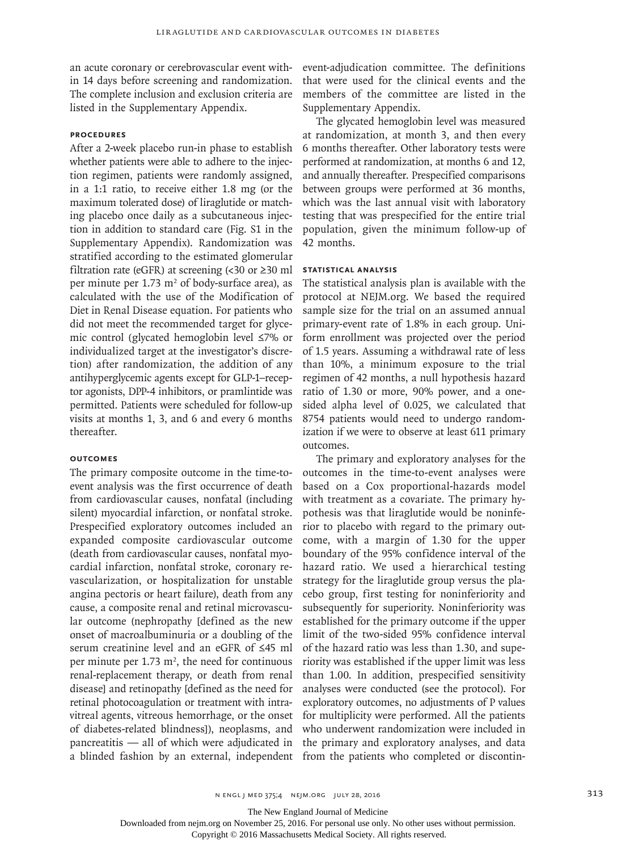an acute coronary or cerebrovascular event within 14 days before screening and randomization. The complete inclusion and exclusion criteria are listed in the Supplementary Appendix.

# **Procedures**

After a 2-week placebo run-in phase to establish whether patients were able to adhere to the injection regimen, patients were randomly assigned, in a 1:1 ratio, to receive either 1.8 mg (or the maximum tolerated dose) of liraglutide or matching placebo once daily as a subcutaneous injection in addition to standard care (Fig. S1 in the Supplementary Appendix). Randomization was stratified according to the estimated glomerular filtration rate (eGFR) at screening  $\left($  < 30 or  $\geq$  30 ml per minute per  $1.73 \text{ m}^2$  of body-surface area), as calculated with the use of the Modification of Diet in Renal Disease equation. For patients who did not meet the recommended target for glycemic control (glycated hemoglobin level ≤7% or individualized target at the investigator's discretion) after randomization, the addition of any antihyperglycemic agents except for GLP-1–receptor agonists, DPP-4 inhibitors, or pramlintide was permitted. Patients were scheduled for follow-up visits at months 1, 3, and 6 and every 6 months thereafter.

# **Outcomes**

The primary composite outcome in the time-toevent analysis was the first occurrence of death from cardiovascular causes, nonfatal (including silent) myocardial infarction, or nonfatal stroke. Prespecified exploratory outcomes included an expanded composite cardiovascular outcome (death from cardiovascular causes, nonfatal myocardial infarction, nonfatal stroke, coronary revascularization, or hospitalization for unstable angina pectoris or heart failure), death from any cause, a composite renal and retinal microvascular outcome (nephropathy [defined as the new onset of macroalbuminuria or a doubling of the serum creatinine level and an eGFR of ≤45 ml per minute per  $1.73 \text{ m}^2$ , the need for continuous renal-replacement therapy, or death from renal disease] and retinopathy [defined as the need for retinal photocoagulation or treatment with intravitreal agents, vitreous hemorrhage, or the onset of diabetes-related blindness]), neoplasms, and pancreatitis — all of which were adjudicated in a blinded fashion by an external, independent

event-adjudication committee. The definitions that were used for the clinical events and the members of the committee are listed in the Supplementary Appendix.

The glycated hemoglobin level was measured at randomization, at month 3, and then every 6 months thereafter. Other laboratory tests were performed at randomization, at months 6 and 12, and annually thereafter. Prespecified comparisons between groups were performed at 36 months, which was the last annual visit with laboratory testing that was prespecified for the entire trial population, given the minimum follow-up of 42 months.

#### **Statistical Analysis**

The statistical analysis plan is available with the protocol at NEJM.org. We based the required sample size for the trial on an assumed annual primary-event rate of 1.8% in each group. Uniform enrollment was projected over the period of 1.5 years. Assuming a withdrawal rate of less than 10%, a minimum exposure to the trial regimen of 42 months, a null hypothesis hazard ratio of 1.30 or more, 90% power, and a onesided alpha level of 0.025, we calculated that 8754 patients would need to undergo randomization if we were to observe at least 611 primary outcomes.

The primary and exploratory analyses for the outcomes in the time-to-event analyses were based on a Cox proportional-hazards model with treatment as a covariate. The primary hypothesis was that liraglutide would be noninferior to placebo with regard to the primary outcome, with a margin of 1.30 for the upper boundary of the 95% confidence interval of the hazard ratio. We used a hierarchical testing strategy for the liraglutide group versus the placebo group, first testing for noninferiority and subsequently for superiority. Noninferiority was established for the primary outcome if the upper limit of the two-sided 95% confidence interval of the hazard ratio was less than 1.30, and superiority was established if the upper limit was less than 1.00. In addition, prespecified sensitivity analyses were conducted (see the protocol). For exploratory outcomes, no adjustments of P values for multiplicity were performed. All the patients who underwent randomization were included in the primary and exploratory analyses, and data from the patients who completed or discontin-

The New England Journal of Medicine

Downloaded from nejm.org on November 25, 2016. For personal use only. No other uses without permission.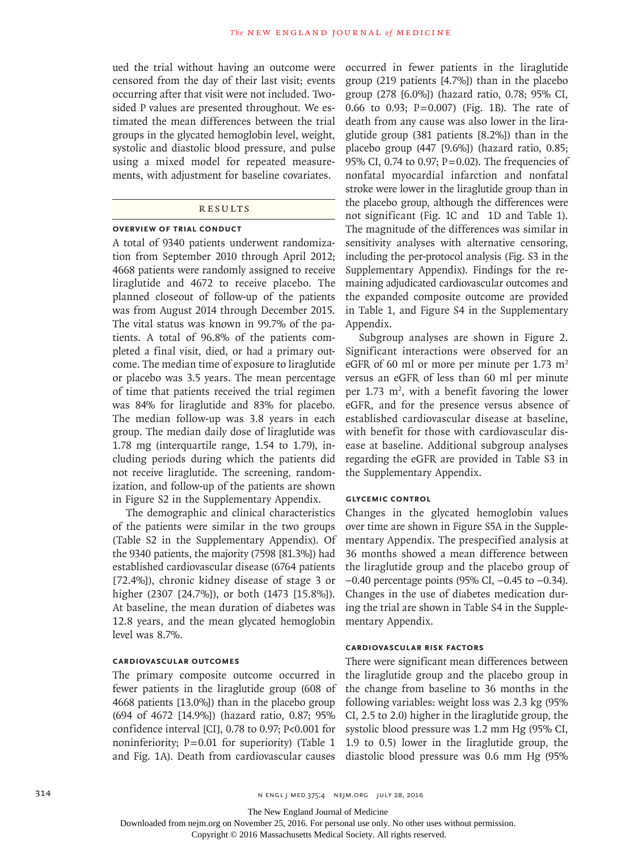ued the trial without having an outcome were censored from the day of their last visit; events occurring after that visit were not included. Twosided P values are presented throughout. We estimated the mean differences between the trial groups in the glycated hemoglobin level, weight, systolic and diastolic blood pressure, and pulse using a mixed model for repeated measurements, with adjustment for baseline covariates.

#### **RESULTS**

# **Overview of Trial Conduct**

A total of 9340 patients underwent randomization from September 2010 through April 2012; 4668 patients were randomly assigned to receive liraglutide and 4672 to receive placebo. The planned closeout of follow-up of the patients was from August 2014 through December 2015. The vital status was known in 99.7% of the patients. A total of 96.8% of the patients completed a final visit, died, or had a primary outcome. The median time of exposure to liraglutide or placebo was 3.5 years. The mean percentage of time that patients received the trial regimen was 84% for liraglutide and 83% for placebo. The median follow-up was 3.8 years in each group. The median daily dose of liraglutide was 1.78 mg (interquartile range, 1.54 to 1.79), including periods during which the patients did not receive liraglutide. The screening, randomization, and follow-up of the patients are shown in Figure S2 in the Supplementary Appendix.

The demographic and clinical characteristics of the patients were similar in the two groups (Table S2 in the Supplementary Appendix). Of the 9340 patients, the majority (7598 [81.3%]) had established cardiovascular disease (6764 patients [72.4%]), chronic kidney disease of stage 3 or higher (2307 [24.7%]), or both (1473 [15.8%]). At baseline, the mean duration of diabetes was 12.8 years, and the mean glycated hemoglobin level was 8.7%.

# **Cardiovascular Outcomes**

The primary composite outcome occurred in fewer patients in the liraglutide group (608 of 4668 patients [13.0%]) than in the placebo group (694 of 4672 [14.9%]) (hazard ratio, 0.87; 95% confidence interval [CI], 0.78 to 0.97; P<0.001 for noninferiority;  $P=0.01$  for superiority) (Table 1 and Fig. 1A). Death from cardiovascular causes

occurred in fewer patients in the liraglutide group (219 patients [4.7%]) than in the placebo group (278 [6.0%]) (hazard ratio, 0.78; 95% CI, 0.66 to 0.93; P=0.007) (Fig. 1B). The rate of death from any cause was also lower in the liraglutide group (381 patients [8.2%]) than in the placebo group (447 [9.6%]) (hazard ratio, 0.85; 95% CI, 0.74 to 0.97;  $P = 0.02$ ). The frequencies of nonfatal myocardial infarction and nonfatal stroke were lower in the liraglutide group than in the placebo group, although the differences were not significant (Fig. 1C and 1D and Table 1). The magnitude of the differences was similar in sensitivity analyses with alternative censoring, including the per-protocol analysis (Fig. S3 in the Supplementary Appendix). Findings for the remaining adjudicated cardiovascular outcomes and the expanded composite outcome are provided in Table 1, and Figure S4 in the Supplementary Appendix.

Subgroup analyses are shown in Figure 2. Significant interactions were observed for an eGFR of 60 ml or more per minute per 1.73  $m<sup>2</sup>$ versus an eGFR of less than 60 ml per minute per 1.73  $m^2$ , with a benefit favoring the lower eGFR, and for the presence versus absence of established cardiovascular disease at baseline, with benefit for those with cardiovascular disease at baseline. Additional subgroup analyses regarding the eGFR are provided in Table S3 in the Supplementary Appendix.

#### **Glycemic Control**

Changes in the glycated hemoglobin values over time are shown in Figure S5A in the Supplementary Appendix. The prespecified analysis at 36 months showed a mean difference between the liraglutide group and the placebo group of −0.40 percentage points (95% CI, −0.45 to −0.34). Changes in the use of diabetes medication during the trial are shown in Table S4 in the Supplementary Appendix.

# **Cardiovascular Risk Factors**

There were significant mean differences between the liraglutide group and the placebo group in the change from baseline to 36 months in the following variables: weight loss was 2.3 kg (95% CI, 2.5 to 2.0) higher in the liraglutide group, the systolic blood pressure was 1.2 mm Hg (95% CI, 1.9 to 0.5) lower in the liraglutide group, the diastolic blood pressure was 0.6 mm Hg (95%

The New England Journal of Medicine

Downloaded from nejm.org on November 25, 2016. For personal use only. No other uses without permission.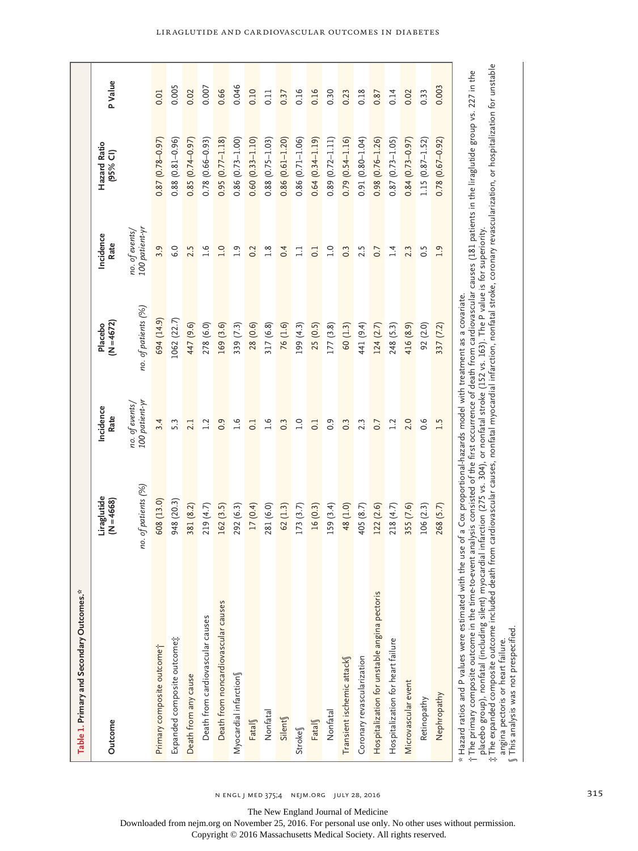| Table 1. Primary and Secondary Outcomes.*                                                                                                                                                                                                                                                                               |                           |                                              |                         |                                              |                            |         |
|-------------------------------------------------------------------------------------------------------------------------------------------------------------------------------------------------------------------------------------------------------------------------------------------------------------------------|---------------------------|----------------------------------------------|-------------------------|----------------------------------------------|----------------------------|---------|
| Outcome                                                                                                                                                                                                                                                                                                                 | Liraglutide<br>$N = 4668$ | Incidence<br>Rate                            | $(N = 4672)$<br>Placebo | Incidence<br>Rate                            | Hazard Ratio<br>$(95%$ CI) | P Value |
|                                                                                                                                                                                                                                                                                                                         | no. of patients (%)       | 100 patient-yı<br>no. of events <sub>/</sub> | no. of patients (%)     | 100 patient-yr<br>no. of events <sub>/</sub> |                            |         |
| Primary composite outcome <sup>+</sup>                                                                                                                                                                                                                                                                                  | 608 (13.0)                | 3.4                                          | 694 (14.9)              | 3.9                                          | $0.87(0.78-0.97)$          | 0.01    |
| Expanded composite outcome;                                                                                                                                                                                                                                                                                             | 948 (20.3)                | 5.3                                          | 1062 (22.7)             | 6.0                                          | $0.88(0.81 - 0.96)$        | 0.005   |
| Death from any cause                                                                                                                                                                                                                                                                                                    | 381 (8.2)                 | 2.1                                          | 447 (9.6)               | 2.5                                          | $0.85(0.74-0.97)$          | 0.02    |
| Death from cardiovascular causes                                                                                                                                                                                                                                                                                        | 219 (4.7)                 | 1.2                                          | 278 (6.0)               | 1.6                                          | $0.78(0.66 - 0.93)$        | 0.007   |
| Death from noncardiovascular causes                                                                                                                                                                                                                                                                                     | 162(3.5)                  | 0.9                                          | 169 (3.6)               | 1.0                                          | $0.95(0.77 - 1.18)$        | 0.66    |
| Myocardial infarction                                                                                                                                                                                                                                                                                                   | 292 (6.3)                 | $\frac{6}{1}$                                | 339 (7.3)               | $\frac{9}{1}$                                | $0.86(0.73 - 1.00)$        | 0.046   |
| Fatal                                                                                                                                                                                                                                                                                                                   | 17(0.4)                   | 0.1                                          | 28 (0.6)                | 0.2                                          | $0.60(0.33 - 1.10)$        | 0.10    |
| Nonfatal                                                                                                                                                                                                                                                                                                                | 281 (6.0)                 | 1.6                                          | 317(6.8)                | 1.8                                          | $0.88$ $(0.75 - 1.03)$     | 0.11    |
| Silent                                                                                                                                                                                                                                                                                                                  | 62 (1.3)                  | $0.\overline{3}$                             | 76 (1.6)                | 0.4                                          | $0.86(0.61 - 1.20)$        | 0.37    |
| Stroke                                                                                                                                                                                                                                                                                                                  | 173(3.7)                  | $\overline{1.0}$                             | 199 (4.3)               | $\Xi$                                        | $0.86$ $(0.71 - 1.06)$     | 0.16    |
| Fatal                                                                                                                                                                                                                                                                                                                   | 16 (0.3)                  | $\overline{0}$ :                             | 25(0.5)                 | $\overline{0}$ .                             | $0.64(0.34 - 1.19)$        | 0.16    |
| Nonfatal                                                                                                                                                                                                                                                                                                                | 159 (3.4)                 | 0.9                                          | 177(3.8)                | $\overline{a}$                               | $0.89(0.72 - 1.11)$        | 0.30    |
| Transient ischemic attack                                                                                                                                                                                                                                                                                               | 48 (1.0)                  | 0.3                                          | 60 (1.3)                | 0.3                                          | $0.79(0.54 - 1.16)$        | 0.23    |
| Coronary revascularization                                                                                                                                                                                                                                                                                              | 405 (8.7)                 | 2.3                                          | 441 (9.4)               | 2.5                                          | $0.91(0.80 - 1.04)$        | 0.18    |
| Hospitalization for unstable angina pectoris                                                                                                                                                                                                                                                                            | 122 (2.6)                 | 0.7                                          | 124(2.7)                | 0.7                                          | $0.98(0.76 - 1.26)$        | 0.87    |
| Hospitalization for heart failure                                                                                                                                                                                                                                                                                       | 218 (4.7)                 | 1.2                                          | 248 (5.3)               | 1.4                                          | $0.87(0.73 - 1.05)$        | 0.14    |
| Microvascular event                                                                                                                                                                                                                                                                                                     | 355 (7.6)                 | 2.0                                          | 416 (8.9)               | 2.3                                          | $0.84(0.73-0.97)$          | 0.02    |
| Retinopathy                                                                                                                                                                                                                                                                                                             | 106(2.3)                  | 0.6                                          | 92 (2.0)                | 0.5                                          | $1.15(0.87 - 1.52)$        | 0.33    |
| Nephropathy                                                                                                                                                                                                                                                                                                             | 268 (5.7)                 | 1.5                                          | 337 (7.2)               | 0.1                                          | $0.78(0.67 - 0.92)$        | 0.003   |
| †The primary composite outcome in the time-to-event analysis consisted of the first occurrence of death from cardiovascular causes (181 patients in the liraglutide group vs. 227 in the<br>* Hazard ratios and P values were estimated with the use of a Cox proportional-hazards model with treatment as a covariate. |                           |                                              |                         |                                              |                            |         |

placebo group), nonfatal (including silent) myocardial infarction (275 vs. 304), or nonfatal stroke (152 vs. 163). The P value is for superiority.

†‡§ $\ddagger$  The expanded composite outcome included death from cardiovascular causes, nonfatal myocardial infarction, nonfatal stroke, coronary revascularization, or hospitalization for unstable angina pectoris or heart failure.

This analysis was not prespecified.

n engl j med 375;4 nejm.org July 28, 2016

The New England Journal of Medicine

Downloaded from nejm.org on November 25, 2016. For personal use only. No other uses without permission.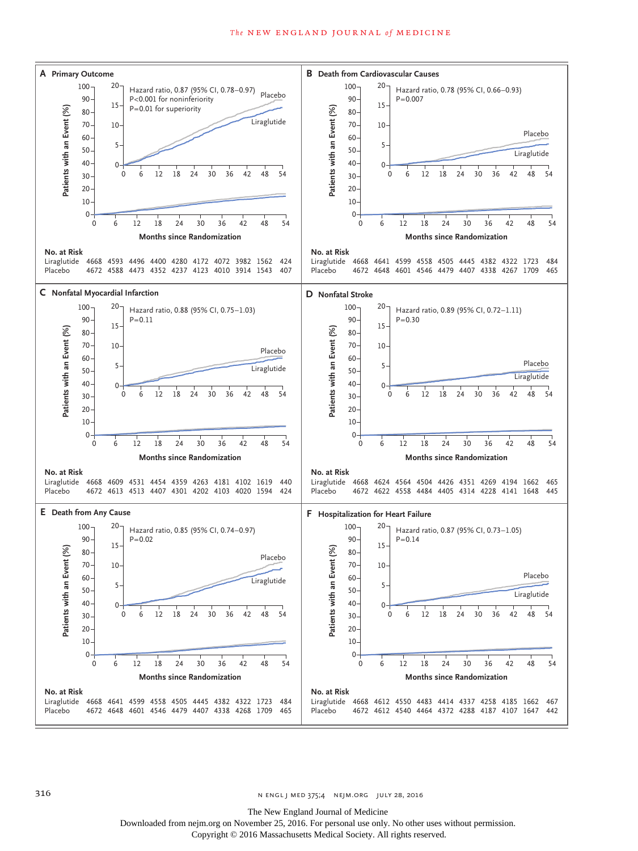

The New England Journal of Medicine

Downloaded from nejm.org on November 25, 2016. For personal use only. No other uses without permission.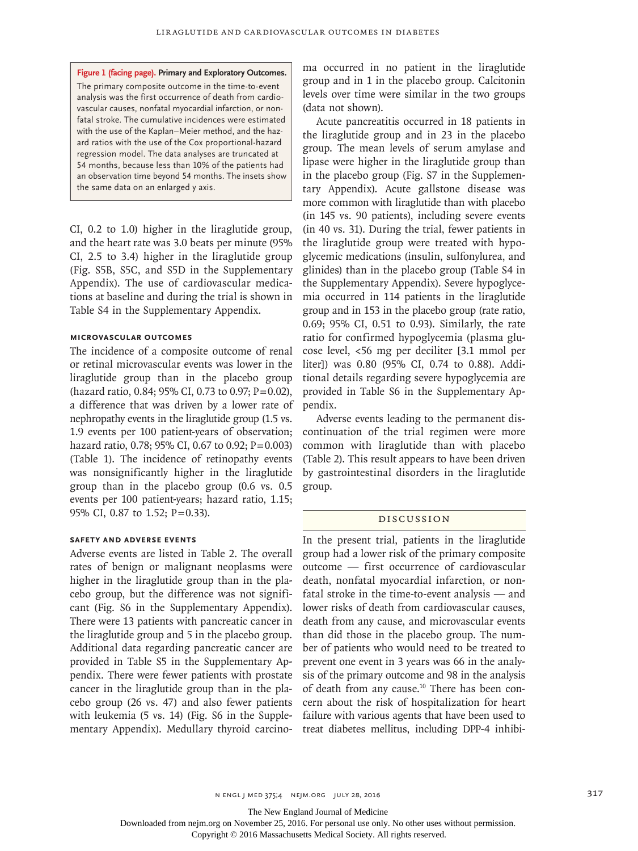**Figure 1 (facing page). Primary and Exploratory Outcomes.** The primary composite outcome in the time-to-event analysis was the first occurrence of death from cardiovascular causes, nonfatal myocardial infarction, or nonfatal stroke. The cumulative incidences were estimated with the use of the Kaplan–Meier method, and the hazard ratios with the use of the Cox proportional-hazard regression model. The data analyses are truncated at 54 months, because less than 10% of the patients had an observation time beyond 54 months. The insets show the same data on an enlarged y axis.

CI, 0.2 to 1.0) higher in the liraglutide group, and the heart rate was 3.0 beats per minute (95% CI, 2.5 to 3.4) higher in the liraglutide group (Fig. S5B, S5C, and S5D in the Supplementary Appendix). The use of cardiovascular medications at baseline and during the trial is shown in Table S4 in the Supplementary Appendix.

# **Microvascular Outcomes**

The incidence of a composite outcome of renal or retinal microvascular events was lower in the liraglutide group than in the placebo group (hazard ratio, 0.84; 95% CI, 0.73 to 0.97; P=0.02), a difference that was driven by a lower rate of nephropathy events in the liraglutide group (1.5 vs. 1.9 events per 100 patient-years of observation; hazard ratio, 0.78; 95% CI, 0.67 to 0.92; P=0.003) (Table 1). The incidence of retinopathy events was nonsignificantly higher in the liraglutide group than in the placebo group (0.6 vs. 0.5 events per 100 patient-years; hazard ratio, 1.15; 95% CI, 0.87 to 1.52; P=0.33).

# **Safety and Adverse Events**

Adverse events are listed in Table 2. The overall rates of benign or malignant neoplasms were higher in the liraglutide group than in the placebo group, but the difference was not significant (Fig. S6 in the Supplementary Appendix). There were 13 patients with pancreatic cancer in the liraglutide group and 5 in the placebo group. Additional data regarding pancreatic cancer are provided in Table S5 in the Supplementary Appendix. There were fewer patients with prostate cancer in the liraglutide group than in the placebo group (26 vs. 47) and also fewer patients with leukemia (5 vs. 14) (Fig. S6 in the Supplementary Appendix). Medullary thyroid carcinoma occurred in no patient in the liraglutide group and in 1 in the placebo group. Calcitonin levels over time were similar in the two groups (data not shown).

Acute pancreatitis occurred in 18 patients in the liraglutide group and in 23 in the placebo group. The mean levels of serum amylase and lipase were higher in the liraglutide group than in the placebo group (Fig. S7 in the Supplementary Appendix). Acute gallstone disease was more common with liraglutide than with placebo (in 145 vs. 90 patients), including severe events (in 40 vs. 31). During the trial, fewer patients in the liraglutide group were treated with hypoglycemic medications (insulin, sulfonylurea, and glinides) than in the placebo group (Table S4 in the Supplementary Appendix). Severe hypoglycemia occurred in 114 patients in the liraglutide group and in 153 in the placebo group (rate ratio, 0.69; 95% CI, 0.51 to 0.93). Similarly, the rate ratio for confirmed hypoglycemia (plasma glucose level, <56 mg per deciliter [3.1 mmol per liter]) was 0.80 (95% CI, 0.74 to 0.88). Additional details regarding severe hypoglycemia are provided in Table S6 in the Supplementary Appendix.

Adverse events leading to the permanent discontinuation of the trial regimen were more common with liraglutide than with placebo (Table 2). This result appears to have been driven by gastrointestinal disorders in the liraglutide group.

# Discussion

In the present trial, patients in the liraglutide group had a lower risk of the primary composite outcome — first occurrence of cardiovascular death, nonfatal myocardial infarction, or nonfatal stroke in the time-to-event analysis — and lower risks of death from cardiovascular causes, death from any cause, and microvascular events than did those in the placebo group. The number of patients who would need to be treated to prevent one event in 3 years was 66 in the analysis of the primary outcome and 98 in the analysis of death from any cause.<sup>10</sup> There has been concern about the risk of hospitalization for heart failure with various agents that have been used to treat diabetes mellitus, including DPP-4 inhibi-

The New England Journal of Medicine

Downloaded from nejm.org on November 25, 2016. For personal use only. No other uses without permission.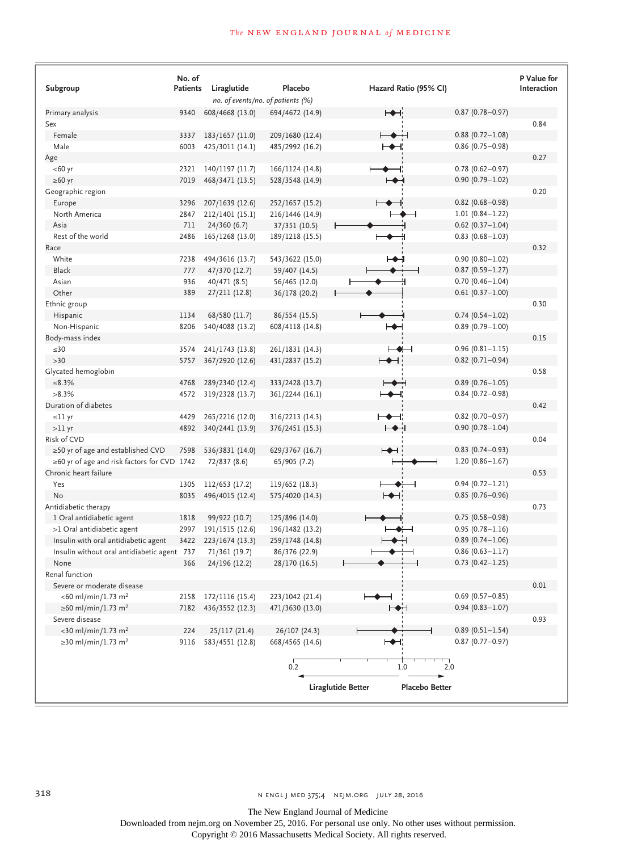# **The NEW ENGLAND JOURNAL of MEDICINE**

| Subgroup                                          | No. of<br><b>Patients</b> | Liraglutide     | Placebo                           | Hazard Ratio (95% CI)                       |                        | <b>P</b> Value for<br>Interaction |
|---------------------------------------------------|---------------------------|-----------------|-----------------------------------|---------------------------------------------|------------------------|-----------------------------------|
|                                                   |                           |                 | no. of events/no. of patients (%) |                                             |                        |                                   |
| Primary analysis                                  | 9340                      | 608/4668 (13.0) | 694/4672 (14.9)                   | $\rightarrow$                               | $0.87(0.78 - 0.97)$    |                                   |
| Sex                                               |                           |                 |                                   |                                             |                        | 0.84                              |
| Female                                            | 3337                      | 183/1657 (11.0) | 209/1680 (12.4)                   | →                                           | $0.88(0.72 - 1.08)$    |                                   |
| Male                                              | 6003                      | 425/3011 (14.1) | 485/2992 (16.2)                   | ⊢◆⊣                                         | $0.86$ (0.75-0.98)     |                                   |
| Age                                               |                           |                 |                                   |                                             |                        | 0.27                              |
| $<$ 60 yr                                         | 2321                      | 140/1197 (11.7) | 166/1124 (14.8)                   |                                             | $0.78$ (0.62-0.97)     |                                   |
| ≥60 yr                                            | 7019                      | 468/3471 (13.5) | 528/3548 (14.9)                   | ⊢⊷                                          | $0.90(0.79 - 1.02)$    |                                   |
| Geographic region                                 |                           |                 |                                   |                                             |                        | 0.20                              |
| Europe                                            | 3296                      | 207/1639 (12.6) | 252/1657 (15.2)                   | $\overline{\phantom{a}}$                    | $0.82$ (0.68-0.98)     |                                   |
| North America                                     | 2847                      | 212/1401 (15.1) | 216/1446 (14.9)                   |                                             | $1.01(0.84 - 1.22)$    |                                   |
| Asia                                              | 711                       | 24/360(6.7)     | 37/351 (10.5)                     |                                             | $0.62$ (0.37-1.04)     |                                   |
| Rest of the world                                 | 2486                      | 165/1268 (13.0) | 189/1218 (15.5)                   |                                             | $0.83$ (0.68-1.03)     |                                   |
| Race                                              |                           |                 |                                   |                                             |                        | 0.32                              |
| White                                             | 7238                      | 494/3616 (13.7) | 543/3622 (15.0)                   | ⊢◆⊣                                         | $0.90(0.80 - 1.02)$    |                                   |
| <b>Black</b>                                      | 777                       | 47/370 (12.7)   | 59/407 (14.5)                     |                                             | $0.87(0.59 - 1.27)$    |                                   |
| Asian                                             | 936                       | 40/471 (8.5)    | 56/465 (12.0)                     |                                             | $0.70(0.46 - 1.04)$    |                                   |
| Other                                             | 389                       | 27/211 (12.8)   | 36/178 (20.2)                     |                                             | $0.61(0.37-1.00)$      |                                   |
| Ethnic group                                      |                           |                 |                                   |                                             |                        | 0.30                              |
| Hispanic                                          | 1134                      | 68/580 (11.7)   | 86/554 (15.5)                     |                                             | $0.74(0.54 - 1.02)$    |                                   |
| Non-Hispanic                                      | 8206                      | 540/4088 (13.2) | 608/4118 (14.8)                   |                                             | $0.89(0.79 - 1.00)$    |                                   |
| Body-mass index                                   |                           |                 |                                   |                                             |                        | 0.15                              |
| ${\le}30$                                         | 3574                      | 241/1743 (13.8) | 261/1831 (14.3)                   | ⊢₩⊣                                         | $0.96(0.81 - 1.15)$    |                                   |
| >30                                               | 5757                      | 367/2920 (12.6) | 431/2837 (15.2)                   | ⊢◆⊣                                         | $0.82$ (0.71-0.94)     |                                   |
| Glycated hemoglobin                               |                           |                 |                                   |                                             |                        | 0.58                              |
| $\leq 8.3\%$                                      | 4768                      | 289/2340 (12.4) | 333/2428 (13.7)                   | ┶┻                                          | $0.89(0.76 - 1.05)$    |                                   |
| $>8.3\%$                                          | 4572                      | 319/2328 (13.7) | 361/2244 (16.1)                   | ┕═                                          | $0.84(0.72 - 0.98)$    |                                   |
| Duration of diabetes                              |                           |                 |                                   |                                             |                        | 0.42                              |
| ≤ll yr                                            | 4429                      | 265/2216 (12.0) | 316/2213 (14.3)                   | ⊢◆⊣∶                                        | $0.82$ (0.70-0.97)     |                                   |
| $>11$ yr                                          | 4892                      | 340/2441 (13.9) | 376/2451 (15.3)                   | $\mapsto$                                   | $0.90(0.78 - 1.04)$    |                                   |
| Risk of CVD                                       |                           |                 |                                   |                                             |                        | 0.04                              |
| $\geq$ 50 yr of age and established CVD           | 7598                      | 536/3831 (14.0) | 629/3767 (16.7)                   | $\mapsto$                                   | $0.83$ (0.74-0.93)     |                                   |
| $\geq$ 60 yr of age and risk factors for CVD 1742 |                           | 72/837 (8.6)    | 65/905 (7.2)                      |                                             | $1.20(0.86 - 1.67)$    |                                   |
| Chronic heart failure                             |                           |                 |                                   |                                             |                        | 0.53                              |
| Yes                                               | 1305                      | 112/653 (17.2)  | 119/652 (18.3)                    | ⊢—◆⊦<br>⊣                                   | $0.94(0.72 - 1.21)$    |                                   |
| No                                                | 8035                      | 496/4015 (12.4) | 575/4020 (14.3)                   | ⊷                                           | $0.85(0.76 - 0.96)$    |                                   |
| Antidiabetic therapy                              |                           |                 |                                   |                                             |                        | 0.73                              |
| 1 Oral antidiabetic agent                         | 1818                      | 99/922 (10.7)   | 125/896 (14.0)                    |                                             | $0.75(0.58 - 0.98)$    |                                   |
| >1 Oral antidiabetic agent                        | 2997                      | 191/1515 (12.6) | 196/1482 (13.2)                   |                                             | $0.95(0.78 - 1.16)$    |                                   |
| Insulin with oral antidiabetic agent              | 3422                      | 223/1674 (13.3) | 259/1748 (14.8)                   |                                             | $0.89(0.74 - 1.06)$    |                                   |
| Insulin without oral antidiabetic agent 737       |                           | 71/361 (19.7)   | 86/376 (22.9)                     |                                             | $0.86(0.63 - 1.17)$    |                                   |
| None                                              | 366                       | 24/196 (12.2)   | 28/170 (16.5)                     |                                             | $0.73$ $(0.42 - 1.25)$ |                                   |
| Renal function                                    |                           |                 |                                   |                                             |                        |                                   |
| Severe or moderate disease                        |                           |                 |                                   |                                             |                        | 0.01                              |
| <60 ml/min/1.73 m <sup>2</sup>                    | 2158                      | 172/1116 (15.4) | 223/1042 (21.4)                   |                                             | $0.69$ (0.57-0.85)     |                                   |
| ≥60 ml/min/1.73 m <sup>2</sup>                    | 7182                      | 436/3552 (12.3) | 471/3630 (13.0)                   | ⊢◆⊣                                         | $0.94(0.83 - 1.07)$    |                                   |
| Severe disease                                    |                           |                 |                                   |                                             |                        | 0.93                              |
| <30 ml/min/1.73 m <sup>2</sup>                    | 224                       | 25/117 (21.4)   | 26/107 (24.3)                     |                                             | $0.89(0.51 - 1.54)$    |                                   |
| ≥30 ml/min/1.73 m <sup>2</sup>                    | 9116                      | 583/4551 (12.8) | 668/4565 (14.6)                   | $\mapsto$                                   | $0.87(0.77 - 0.97)$    |                                   |
|                                                   |                           |                 | 0.2                               | 1.0                                         | 2.0                    |                                   |
|                                                   |                           |                 |                                   | Liraglutide Better<br><b>Placebo Better</b> |                        |                                   |

The New England Journal of Medicine

Downloaded from nejm.org on November 25, 2016. For personal use only. No other uses without permission.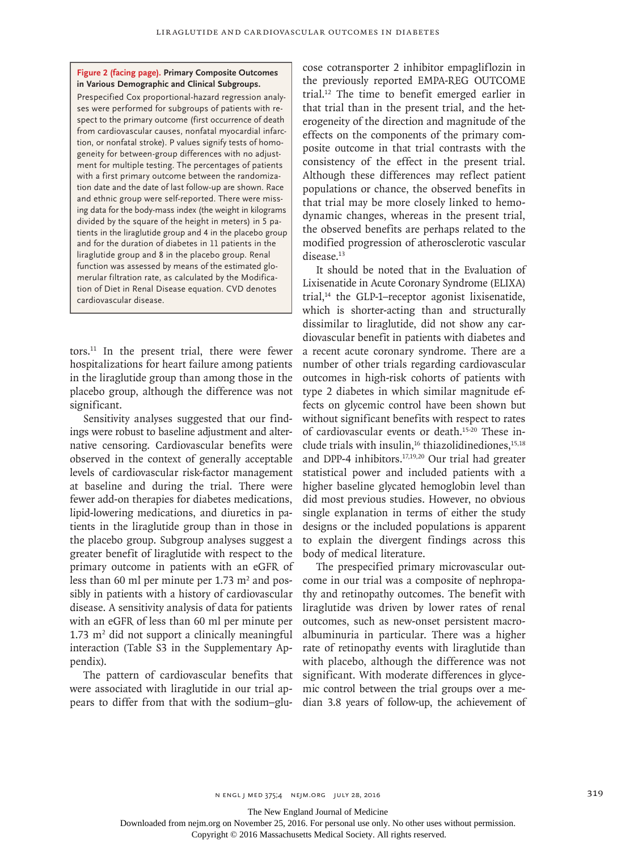#### **Figure 2 (facing page). Primary Composite Outcomes in Various Demographic and Clinical Subgroups.**

Prespecified Cox proportional-hazard regression analyses were performed for subgroups of patients with respect to the primary outcome (first occurrence of death from cardiovascular causes, nonfatal myocardial infarction, or nonfatal stroke). P values signify tests of homogeneity for between-group differences with no adjustment for multiple testing. The percentages of patients with a first primary outcome between the randomization date and the date of last follow-up are shown. Race and ethnic group were self-reported. There were missing data for the body-mass index (the weight in kilograms divided by the square of the height in meters) in 5 patients in the liraglutide group and 4 in the placebo group and for the duration of diabetes in 11 patients in the liraglutide group and 8 in the placebo group. Renal function was assessed by means of the estimated glomerular filtration rate, as calculated by the Modification of Diet in Renal Disease equation. CVD denotes cardiovascular disease.

tors.11 In the present trial, there were fewer hospitalizations for heart failure among patients in the liraglutide group than among those in the placebo group, although the difference was not significant.

Sensitivity analyses suggested that our findings were robust to baseline adjustment and alternative censoring. Cardiovascular benefits were observed in the context of generally acceptable levels of cardiovascular risk-factor management at baseline and during the trial. There were fewer add-on therapies for diabetes medications, lipid-lowering medications, and diuretics in patients in the liraglutide group than in those in the placebo group. Subgroup analyses suggest a greater benefit of liraglutide with respect to the primary outcome in patients with an eGFR of less than 60 ml per minute per  $1.73 \text{ m}^2$  and possibly in patients with a history of cardiovascular disease. A sensitivity analysis of data for patients with an eGFR of less than 60 ml per minute per  $1.73 \text{ m}^2$  did not support a clinically meaningful interaction (Table S3 in the Supplementary Appendix).

The pattern of cardiovascular benefits that were associated with liraglutide in our trial appears to differ from that with the sodium–glucose cotransporter 2 inhibitor empagliflozin in the previously reported EMPA-REG OUTCOME trial.12 The time to benefit emerged earlier in that trial than in the present trial, and the heterogeneity of the direction and magnitude of the effects on the components of the primary composite outcome in that trial contrasts with the consistency of the effect in the present trial. Although these differences may reflect patient populations or chance, the observed benefits in that trial may be more closely linked to hemodynamic changes, whereas in the present trial, the observed benefits are perhaps related to the modified progression of atherosclerotic vascular disease.13

It should be noted that in the Evaluation of Lixisenatide in Acute Coronary Syndrome (ELIXA) trial, $14$  the GLP-1–receptor agonist lixisenatide, which is shorter-acting than and structurally dissimilar to liraglutide, did not show any cardiovascular benefit in patients with diabetes and a recent acute coronary syndrome. There are a number of other trials regarding cardiovascular outcomes in high-risk cohorts of patients with type 2 diabetes in which similar magnitude effects on glycemic control have been shown but without significant benefits with respect to rates of cardiovascular events or death.15-20 These include trials with insulin, $16$  thiazolidinediones, $15,18$ and DPP-4 inhibitors.17,19,20 Our trial had greater statistical power and included patients with a higher baseline glycated hemoglobin level than did most previous studies. However, no obvious single explanation in terms of either the study designs or the included populations is apparent to explain the divergent findings across this body of medical literature.

The prespecified primary microvascular outcome in our trial was a composite of nephropathy and retinopathy outcomes. The benefit with liraglutide was driven by lower rates of renal outcomes, such as new-onset persistent macroalbuminuria in particular. There was a higher rate of retinopathy events with liraglutide than with placebo, although the difference was not significant. With moderate differences in glycemic control between the trial groups over a median 3.8 years of follow-up, the achievement of

The New England Journal of Medicine

Downloaded from nejm.org on November 25, 2016. For personal use only. No other uses without permission.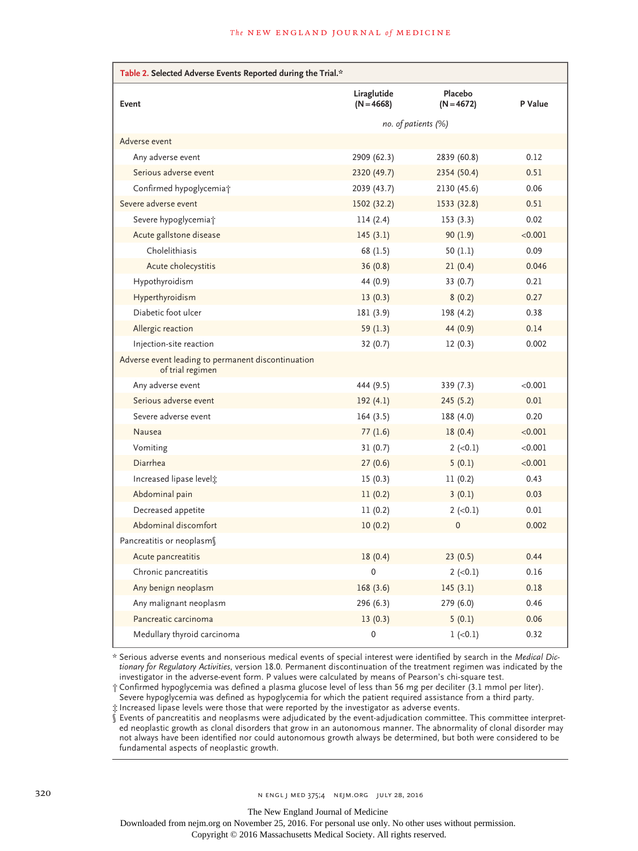| Table 2. Selected Adverse Events Reported during the Trial.*           |                             |                         |         |
|------------------------------------------------------------------------|-----------------------------|-------------------------|---------|
| Event                                                                  | Liraglutide<br>$(N = 4668)$ | Placebo<br>$(N = 4672)$ | P Value |
|                                                                        | no. of patients (%)         |                         |         |
| Adverse event                                                          |                             |                         |         |
| Any adverse event                                                      | 2909 (62.3)                 | 2839 (60.8)             | 0.12    |
| Serious adverse event                                                  | 2320 (49.7)                 | 2354 (50.4)             | 0.51    |
| Confirmed hypoglycemia <sup>+</sup>                                    | 2039 (43.7)                 | 2130 (45.6)             | 0.06    |
| Severe adverse event                                                   | 1502 (32.2)                 | 1533 (32.8)             | 0.51    |
| Severe hypoglycemia <sup>+</sup>                                       | 114(2.4)                    | 153(3.3)                | 0.02    |
| Acute gallstone disease                                                | 145(3.1)                    | 90(1.9)                 | < 0.001 |
| Cholelithiasis                                                         | 68 (1.5)                    | 50(1.1)                 | 0.09    |
| Acute cholecystitis                                                    | 36(0.8)                     | 21(0.4)                 | 0.046   |
| Hypothyroidism                                                         | 44 (0.9)                    | 33(0.7)                 | 0.21    |
| Hyperthyroidism                                                        | 13(0.3)                     | 8(0.2)                  | 0.27    |
| Diabetic foot ulcer                                                    | 181 (3.9)                   | 198 (4.2)               | 0.38    |
| Allergic reaction                                                      | 59(1.3)                     | 44 (0.9)                | 0.14    |
| Injection-site reaction                                                | 32(0.7)                     | 12(0.3)                 | 0.002   |
| Adverse event leading to permanent discontinuation<br>of trial regimen |                             |                         |         |
| Any adverse event                                                      | 444 (9.5)                   | 339 (7.3)               | < 0.001 |
| Serious adverse event                                                  | 192(4.1)                    | 245(5.2)                | 0.01    |
| Severe adverse event                                                   | 164(3.5)                    | 188 (4.0)               | 0.20    |
| Nausea                                                                 | 77(1.6)                     | 18(0.4)                 | < 0.001 |
| Vomiting                                                               | 31(0.7)                     | $2 (-0.1)$              | < 0.001 |
| Diarrhea                                                               | 27(0.6)                     | 5(0.1)                  | < 0.001 |
| Increased lipase level;                                                | 15(0.3)                     | 11(0.2)                 | 0.43    |
| Abdominal pain                                                         | 11(0.2)                     | 3(0.1)                  | 0.03    |
| Decreased appetite                                                     | 11(0.2)                     | $2 (-0.1)$              | 0.01    |
| Abdominal discomfort                                                   | 10(0.2)                     | $\mathbf 0$             | 0.002   |
| Pancreatitis or neoplasm                                               |                             |                         |         |
| Acute pancreatitis                                                     | 18(0.4)                     | 23(0.5)                 | 0.44    |
| Chronic pancreatitis                                                   | 0                           | $2 (-0.1)$              | 0.16    |
| Any benign neoplasm                                                    | 168(3.6)                    | 145(3.1)                | 0.18    |
| Any malignant neoplasm                                                 | 296(6.3)                    | 279 (6.0)               | 0.46    |
| Pancreatic carcinoma                                                   | 13(0.3)                     | 5(0.1)                  | 0.06    |
| Medullary thyroid carcinoma                                            | $\mathbf 0$                 | $1 (-0.1)$              | 0.32    |

\* Serious adverse events and nonserious medical events of special interest were identified by search in the *Medical Dictionary for Regulatory Activities*, version 18.0. Permanent discontinuation of the treatment regimen was indicated by the investigator in the adverse-event form. P values were calculated by means of Pearson's chi-square test.

† Confirmed hypoglycemia was defined a plasma glucose level of less than 56 mg per deciliter (3.1 mmol per liter). Severe hypoglycemia was defined as hypoglycemia for which the patient required assistance from a third party.

‡ Increased lipase levels were those that were reported by the investigator as adverse events.

§ Events of pancreatitis and neoplasms were adjudicated by the event-adjudication committee. This committee interpreted neoplastic growth as clonal disorders that grow in an autonomous manner. The abnormality of clonal disorder may not always have been identified nor could autonomous growth always be determined, but both were considered to be fundamental aspects of neoplastic growth.

The New England Journal of Medicine

Downloaded from nejm.org on November 25, 2016. For personal use only. No other uses without permission.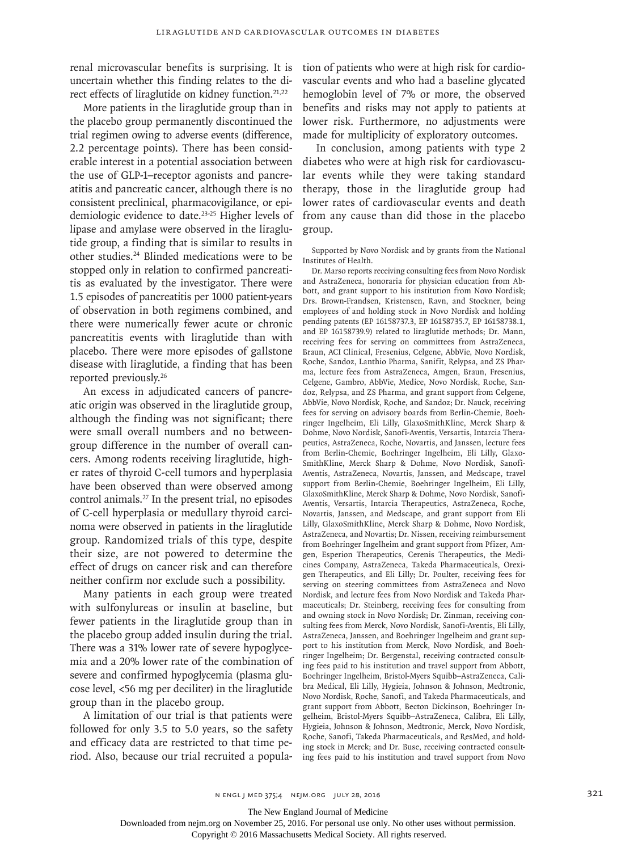renal microvascular benefits is surprising. It is uncertain whether this finding relates to the direct effects of liraglutide on kidney function.<sup>21,22</sup>

More patients in the liraglutide group than in the placebo group permanently discontinued the trial regimen owing to adverse events (difference, 2.2 percentage points). There has been considerable interest in a potential association between the use of GLP-1–receptor agonists and pancreatitis and pancreatic cancer, although there is no consistent preclinical, pharmacovigilance, or epidemiologic evidence to date.<sup>23-25</sup> Higher levels of lipase and amylase were observed in the liraglutide group, a finding that is similar to results in other studies.24 Blinded medications were to be stopped only in relation to confirmed pancreatitis as evaluated by the investigator. There were 1.5 episodes of pancreatitis per 1000 patient-years of observation in both regimens combined, and there were numerically fewer acute or chronic pancreatitis events with liraglutide than with placebo. There were more episodes of gallstone disease with liraglutide, a finding that has been reported previously.26

An excess in adjudicated cancers of pancreatic origin was observed in the liraglutide group, although the finding was not significant; there were small overall numbers and no betweengroup difference in the number of overall cancers. Among rodents receiving liraglutide, higher rates of thyroid C-cell tumors and hyperplasia have been observed than were observed among control animals.27 In the present trial, no episodes of C-cell hyperplasia or medullary thyroid carcinoma were observed in patients in the liraglutide group. Randomized trials of this type, despite their size, are not powered to determine the effect of drugs on cancer risk and can therefore neither confirm nor exclude such a possibility.

Many patients in each group were treated with sulfonylureas or insulin at baseline, but fewer patients in the liraglutide group than in the placebo group added insulin during the trial. There was a 31% lower rate of severe hypoglycemia and a 20% lower rate of the combination of severe and confirmed hypoglycemia (plasma glucose level, <56 mg per deciliter) in the liraglutide group than in the placebo group.

A limitation of our trial is that patients were followed for only 3.5 to 5.0 years, so the safety and efficacy data are restricted to that time period. Also, because our trial recruited a population of patients who were at high risk for cardiovascular events and who had a baseline glycated hemoglobin level of 7% or more, the observed benefits and risks may not apply to patients at lower risk. Furthermore, no adjustments were made for multiplicity of exploratory outcomes.

In conclusion, among patients with type 2 diabetes who were at high risk for cardiovascular events while they were taking standard therapy, those in the liraglutide group had lower rates of cardiovascular events and death from any cause than did those in the placebo group.

Supported by Novo Nordisk and by grants from the National Institutes of Health.

Dr. Marso reports receiving consulting fees from Novo Nordisk and AstraZeneca, honoraria for physician education from Abbott, and grant support to his institution from Novo Nordisk; Drs. Brown-Frandsen, Kristensen, Ravn, and Stockner, being employees of and holding stock in Novo Nordisk and holding pending patents (EP 16158737.3, EP 16158735.7, EP 16158738.1, and EP 16158739.9) related to liraglutide methods; Dr. Mann, receiving fees for serving on committees from AstraZeneca, Braun, ACI Clinical, Fresenius, Celgene, AbbVie, Novo Nordisk, Roche, Sandoz, Lanthio Pharma, Sanifit, Relypsa, and ZS Pharma, lecture fees from AstraZeneca, Amgen, Braun, Fresenius, Celgene, Gambro, AbbVie, Medice, Novo Nordisk, Roche, Sandoz, Relypsa, and ZS Pharma, and grant support from Celgene, AbbVie, Novo Nordisk, Roche, and Sandoz; Dr. Nauck, receiving fees for serving on advisory boards from Berlin-Chemie, Boehringer Ingelheim, Eli Lilly, GlaxoSmithKline, Merck Sharp & Dohme, Novo Nordisk, Sanofi-Aventis, Versartis, Intarcia Therapeutics, AstraZeneca, Roche, Novartis, and Janssen, lecture fees from Berlin-Chemie, Boehringer Ingelheim, Eli Lilly, Glaxo-SmithKline, Merck Sharp & Dohme, Novo Nordisk, Sanofi-Aventis, AstraZeneca, Novartis, Janssen, and Medscape, travel support from Berlin-Chemie, Boehringer Ingelheim, Eli Lilly, GlaxoSmithKline, Merck Sharp & Dohme, Novo Nordisk, Sanofi-Aventis, Versartis, Intarcia Therapeutics, AstraZeneca, Roche, Novartis, Janssen, and Medscape, and grant support from Eli Lilly, GlaxoSmithKline, Merck Sharp & Dohme, Novo Nordisk, AstraZeneca, and Novartis; Dr. Nissen, receiving reimbursement from Boehringer Ingelheim and grant support from Pfizer, Amgen, Esperion Therapeutics, Cerenis Therapeutics, the Medicines Company, AstraZeneca, Takeda Pharmaceuticals, Orexigen Therapeutics, and Eli Lilly; Dr. Poulter, receiving fees for serving on steering committees from AstraZeneca and Novo Nordisk, and lecture fees from Novo Nordisk and Takeda Pharmaceuticals; Dr. Steinberg, receiving fees for consulting from and owning stock in Novo Nordisk; Dr. Zinman, receiving consulting fees from Merck, Novo Nordisk, Sanofi-Aventis, Eli Lilly, AstraZeneca, Janssen, and Boehringer Ingelheim and grant support to his institution from Merck, Novo Nordisk, and Boehringer Ingelheim; Dr. Bergenstal, receiving contracted consulting fees paid to his institution and travel support from Abbott, Boehringer Ingelheim, Bristol-Myers Squibb–AstraZeneca, Calibra Medical, Eli Lilly, Hygieia, Johnson & Johnson, Medtronic, Novo Nordisk, Roche, Sanofi, and Takeda Pharmaceuticals, and grant support from Abbott, Becton Dickinson, Boehringer Ingelheim, Bristol-Myers Squibb–AstraZeneca, Calibra, Eli Lilly, Hygieia, Johnson & Johnson, Medtronic, Merck, Novo Nordisk, Roche, Sanofi, Takeda Pharmaceuticals, and ResMed, and holding stock in Merck; and Dr. Buse, receiving contracted consulting fees paid to his institution and travel support from Novo

The New England Journal of Medicine

Downloaded from nejm.org on November 25, 2016. For personal use only. No other uses without permission.